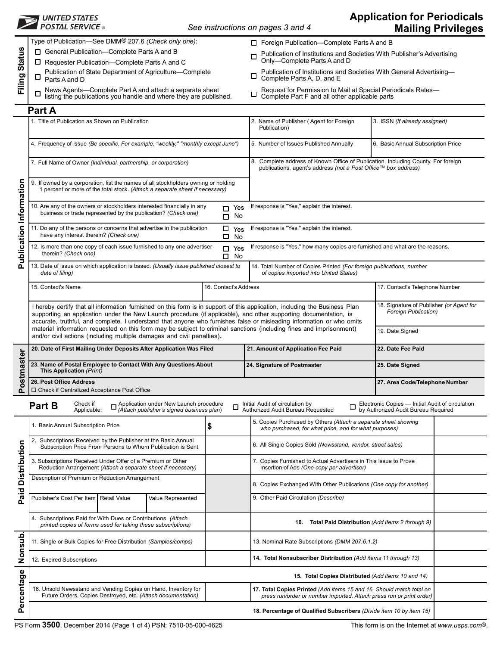|                         | <b>FOSTAL SERVICE</b>                                                                                                                                                                                                                                                                                                                                                    |                                                                                                                | See instructions on pages 3 and 4                                                                                                                          |                                                                               | <b>Application for Periodicals</b>                                                      | <b>Mailing Privileges</b> |  |
|-------------------------|--------------------------------------------------------------------------------------------------------------------------------------------------------------------------------------------------------------------------------------------------------------------------------------------------------------------------------------------------------------------------|----------------------------------------------------------------------------------------------------------------|------------------------------------------------------------------------------------------------------------------------------------------------------------|-------------------------------------------------------------------------------|-----------------------------------------------------------------------------------------|---------------------------|--|
| Filing Status           | Type of Publication-See DMM <sup>®</sup> 207.6 (Check only one):<br>□ General Publication-Complete Parts A and B<br>$\Box$ Requester Publication--Complete Parts A and C                                                                                                                                                                                                 |                                                                                                                | □ Foreign Publication–Complete Parts A and B<br>Publication of Institutions and Societies With Publisher's Advertising<br>п<br>Only-Complete Parts A and D |                                                                               |                                                                                         |                           |  |
|                         | Publication of State Department of Agriculture-Complete<br>⊔<br>Parts A and D                                                                                                                                                                                                                                                                                            |                                                                                                                | Publication of Institutions and Societies With General Advertising-<br>□<br>Complete Parts A, D, and E                                                     |                                                                               |                                                                                         |                           |  |
|                         | News Agents-Complete Part A and attach a separate sheet<br>□<br>listing the publications you handle and where they are published.                                                                                                                                                                                                                                        |                                                                                                                | Request for Permission to Mail at Special Periodicals Rates-<br>□<br>Complete Part F and all other applicable parts                                        |                                                                               |                                                                                         |                           |  |
|                         | Part A                                                                                                                                                                                                                                                                                                                                                                   |                                                                                                                |                                                                                                                                                            |                                                                               |                                                                                         |                           |  |
|                         | 1. Title of Publication as Shown on Publication                                                                                                                                                                                                                                                                                                                          |                                                                                                                | Publication)                                                                                                                                               | 2. Name of Publisher (Agent for Foreign<br>3. ISSN (If already assigned)      |                                                                                         |                           |  |
|                         | 4. Frequency of Issue (Be specific. For example, "weekly," "monthly except June")                                                                                                                                                                                                                                                                                        |                                                                                                                | 5. Number of Issues Published Annually<br>6. Basic Annual Subscription Price                                                                               |                                                                               |                                                                                         |                           |  |
|                         | 7. Full Name of Owner (Individual, partnership, or corporation)                                                                                                                                                                                                                                                                                                          |                                                                                                                | 8. Complete address of Known Office of Publication, Including County. For foreign<br>publications, agent's address (not a Post Office™ box address)        |                                                                               |                                                                                         |                           |  |
| Publication Information | 9. If owned by a corporation, list the names of all stockholders owning or holding<br>1 percent or more of the total stock. (Attach a separate sheet if necessary)                                                                                                                                                                                                       |                                                                                                                |                                                                                                                                                            |                                                                               |                                                                                         |                           |  |
|                         | 10. Are any of the owners or stockholders interested financially in any<br>business or trade represented by the publication? (Check one)                                                                                                                                                                                                                                 | $\Box$ Yes<br>No<br>$\Box$                                                                                     | If response is "Yes," explain the interest.                                                                                                                |                                                                               |                                                                                         |                           |  |
|                         | 11. Do any of the persons or concerns that advertise in the publication<br>have any interest therein? (Check one)                                                                                                                                                                                                                                                        | 0<br>Yes<br>□<br><b>No</b>                                                                                     | If response is "Yes," explain the interest.                                                                                                                |                                                                               |                                                                                         |                           |  |
|                         | 12. Is more than one copy of each issue furnished to any one advertiser<br>therein? (Check one)                                                                                                                                                                                                                                                                          | $\Box$<br>Yes<br>No<br>□                                                                                       |                                                                                                                                                            | If response is "Yes," how many copies are furnished and what are the reasons. |                                                                                         |                           |  |
|                         | 13. Date of issue on which application is based. (Usually issue published closest to<br>date of filing)                                                                                                                                                                                                                                                                  |                                                                                                                | 14. Total Number of Copies Printed (For foreign publications, number<br>of copies imported into United States)                                             |                                                                               |                                                                                         |                           |  |
|                         | 15. Contact's Name                                                                                                                                                                                                                                                                                                                                                       | 16. Contact's Address                                                                                          | 17. Contact's Telephone Number                                                                                                                             |                                                                               |                                                                                         |                           |  |
|                         | I hereby certify that all information furnished on this form is in support of this application, including the Business Plan<br>supporting an application under the New Launch procedure (if applicable), and other supporting documentation, is<br>accurate, truthful, and complete. I understand that anyone who furnishes false or misleading information or who omits |                                                                                                                | 18. Signature of Publisher (or Agent for<br>Foreign Publication)                                                                                           |                                                                               |                                                                                         |                           |  |
|                         | material information requested on this form may be subject to criminal sanctions (including fines and imprisonment)<br>and/or civil actions (including multiple damages and civil penalties).                                                                                                                                                                            |                                                                                                                |                                                                                                                                                            | 19. Date Signed                                                               |                                                                                         |                           |  |
| naster                  | 20. Date of First Mailing Under Deposits After Application Was Filed<br>23. Name of Postal Employee to Contact With Any Questions About                                                                                                                                                                                                                                  |                                                                                                                | 21. Amount of Application Fee Paid<br>24. Signature of Postmaster                                                                                          |                                                                               | 22. Date Fee Paid<br>25. Date Signed                                                    |                           |  |
| Postm                   | This Application (Print)<br>26. Post Office Address                                                                                                                                                                                                                                                                                                                      |                                                                                                                | 27. Area Code/Telephone Number                                                                                                                             |                                                                               |                                                                                         |                           |  |
|                         | □ Check if Centralized Acceptance Post Office                                                                                                                                                                                                                                                                                                                            |                                                                                                                |                                                                                                                                                            |                                                                               |                                                                                         |                           |  |
|                         | Check if<br>Application under New Launch procedure<br>(Attach publisher's signed business plan)<br>Part B<br>Applicable:                                                                                                                                                                                                                                                 | $\Box$                                                                                                         | Initial Audit of circulation by<br>Authorized Audit Bureau Requested                                                                                       | Ω                                                                             | Electronic Copies — Initial Audit of circulation<br>by Authorized Audit Bureau Required |                           |  |
|                         | 1. Basic Annual Subscription Price                                                                                                                                                                                                                                                                                                                                       | \$                                                                                                             | 5. Copies Purchased by Others (Attach a separate sheet showing<br>who purchased, for what price, and for what purposes)                                    |                                                                               |                                                                                         |                           |  |
|                         | 2.<br>Subscriptions Received by the Publisher at the Basic Annual<br>Subscription Price From Persons to Whom Publication is Sent                                                                                                                                                                                                                                         |                                                                                                                | 6. All Single Copies Sold (Newsstand, vendor, street sales)                                                                                                |                                                                               |                                                                                         |                           |  |
| <b>Distribution</b>     | Subscriptions Received Under Offer of a Premium or Other<br>Reduction Arrangement (Attach a separate sheet if necessary)                                                                                                                                                                                                                                                 | 7. Copies Furnished to Actual Advertisers in This Issue to Prove<br>Insertion of Ads (One copy per advertiser) |                                                                                                                                                            |                                                                               |                                                                                         |                           |  |
| Paid                    | Description of Premium or Reduction Arrangement                                                                                                                                                                                                                                                                                                                          |                                                                                                                |                                                                                                                                                            | 8. Copies Exchanged With Other Publications (One copy for another)            |                                                                                         |                           |  |
|                         | Publisher's Cost Per Item   Retail Value<br>Value Represented                                                                                                                                                                                                                                                                                                            |                                                                                                                | 9. Other Paid Circulation (Describe)                                                                                                                       |                                                                               |                                                                                         |                           |  |
|                         | 4. Subscriptions Paid for With Dues or Contributions (Attach<br>printed copies of forms used for taking these subscriptions)                                                                                                                                                                                                                                             |                                                                                                                | 10.                                                                                                                                                        | Total Paid Distribution (Add items 2 through 9)                               |                                                                                         |                           |  |
| Nonsub                  | 11. Single or Bulk Copies for Free Distribution (Samples/comps)                                                                                                                                                                                                                                                                                                          |                                                                                                                |                                                                                                                                                            | 13. Nominal Rate Subscriptions (DMM 207.6.1.2)                                |                                                                                         |                           |  |
|                         | 12. Expired Subscriptions                                                                                                                                                                                                                                                                                                                                                |                                                                                                                | 14. Total Nonsubscriber Distribution (Add items 11 through 13)                                                                                             |                                                                               |                                                                                         |                           |  |
|                         |                                                                                                                                                                                                                                                                                                                                                                          |                                                                                                                |                                                                                                                                                            |                                                                               | 15. Total Copies Distributed (Add items 10 and 14)                                      |                           |  |
| Percentage              | 16. Unsold Newsstand and Vending Copies on Hand, Inventory for<br>Future Orders, Copies Destroyed, etc. (Attach documentation)                                                                                                                                                                                                                                           |                                                                                                                | 17. Total Copies Printed (Add items 15 and 16. Should match total on<br>press run/order or number imported. Attach press run or print order)               |                                                                               |                                                                                         |                           |  |
|                         |                                                                                                                                                                                                                                                                                                                                                                          |                                                                                                                | 18. Percentage of Qualified Subscribers (Divide item 10 by item 15)                                                                                        |                                                                               |                                                                                         |                           |  |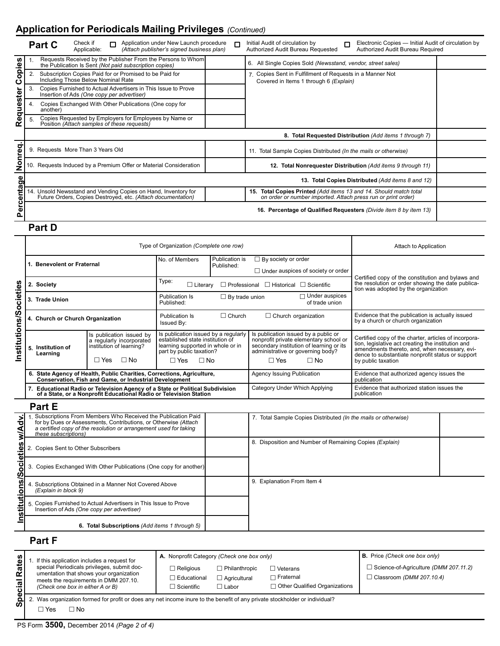# **Application for Periodicals Mailing Privileges** *(Continued)*

|                    |                                                                                                                   | <b>Part C</b>                                        | Check if<br>Applicable: |  | Application under New Launch procedure<br>(Attach publisher's signed business plan)                                            |  | $\Box$ | Electronic Copies - Initial Audit of circulation by<br>Initial Audit of circulation by<br>n<br>Authorized Audit Bureau Requested<br>Authorized Audit Bureau Required |  |  |  |  |
|--------------------|-------------------------------------------------------------------------------------------------------------------|------------------------------------------------------|-------------------------|--|--------------------------------------------------------------------------------------------------------------------------------|--|--------|----------------------------------------------------------------------------------------------------------------------------------------------------------------------|--|--|--|--|
| <b>seido</b> :     |                                                                                                                   |                                                      |                         |  | Requests Received by the Publisher From the Persons to Whom<br>the Publication Is Sent (Not paid subscription copies)          |  |        | 6. All Single Copies Sold (Newsstand, vendor, street sales)                                                                                                          |  |  |  |  |
| ပ                  | Subscription Copies Paid for or Promised to be Paid for<br>2.<br>Including Those Below Nominal Rate               |                                                      |                         |  |                                                                                                                                |  |        | 7. Copies Sent in Fulfillment of Requests in a Manner Not<br>Covered in Items 1 through 6 (Explain)                                                                  |  |  |  |  |
|                    | 3.<br>Copies Furnished to Actual Advertisers in This Issue to Prove<br>Insertion of Ads (One copy per advertiser) |                                                      |                         |  |                                                                                                                                |  |        |                                                                                                                                                                      |  |  |  |  |
| Requester          | -4.                                                                                                               | another)                                             |                         |  | Copies Exchanged With Other Publications (One copy for                                                                         |  |        |                                                                                                                                                                      |  |  |  |  |
|                    |                                                                                                                   |                                                      |                         |  | Copies Requested by Employers for Employees by Name or<br>Position (Attach samples of these requests)                          |  |        |                                                                                                                                                                      |  |  |  |  |
|                    | 8. Total Requested Distribution (Add items 1 through 7)                                                           |                                                      |                         |  |                                                                                                                                |  |        |                                                                                                                                                                      |  |  |  |  |
| nreq.              | 9. Requests More Than 3 Years Old                                                                                 |                                                      |                         |  |                                                                                                                                |  |        | 11. Total Sample Copies Distributed (In the mails or otherwise)                                                                                                      |  |  |  |  |
| $\bar{\mathbf{z}}$ |                                                                                                                   |                                                      |                         |  | 10. Requests Induced by a Premium Offer or Material Consideration                                                              |  |        | 12. Total Nonrequester Distribution (Add items 9 through 11)                                                                                                         |  |  |  |  |
|                    |                                                                                                                   | Total Copies Distributed (Add items 8 and 12)<br>13. |                         |  |                                                                                                                                |  |        |                                                                                                                                                                      |  |  |  |  |
| entage             |                                                                                                                   |                                                      |                         |  | 14. Unsold Newsstand and Vending Copies on Hand, Inventory for<br>Future Orders, Copies Destroyed, etc. (Attach documentation) |  |        | 15. Total Copies Printed (Add items 13 and 14. Should match total<br>on order or number imported. Attach press run or print order)                                   |  |  |  |  |
| ق<br>ھ<br>Ő.       | 16. Percentage of Qualified Requesters (Divide item 8 by item 13)                                                 |                                                      |                         |  |                                                                                                                                |  |        |                                                                                                                                                                      |  |  |  |  |

**Part D**

|                               |                                                                                                                                                                                                                                                                                                                                | Type of Organization (Complete one row)                                                                                                                                                              | Attach to Application                                                                                                                                                |                                                             |                                                                                                                                                                                            |                                                                                                                                                                                                                                         |  |
|-------------------------------|--------------------------------------------------------------------------------------------------------------------------------------------------------------------------------------------------------------------------------------------------------------------------------------------------------------------------------|------------------------------------------------------------------------------------------------------------------------------------------------------------------------------------------------------|----------------------------------------------------------------------------------------------------------------------------------------------------------------------|-------------------------------------------------------------|--------------------------------------------------------------------------------------------------------------------------------------------------------------------------------------------|-----------------------------------------------------------------------------------------------------------------------------------------------------------------------------------------------------------------------------------------|--|
|                               | 1. Benevolent or Fraternal                                                                                                                                                                                                                                                                                                     |                                                                                                                                                                                                      | No. of Members                                                                                                                                                       | Publication is<br>Published:                                | $\Box$ By society or order<br>$\Box$ Under auspices of society or order                                                                                                                    |                                                                                                                                                                                                                                         |  |
|                               | 2. Society                                                                                                                                                                                                                                                                                                                     |                                                                                                                                                                                                      | Type:<br>$\Box$ Literary                                                                                                                                             |                                                             | $\Box$ Professional $\Box$ Historical $\Box$ Scientific                                                                                                                                    | Certified copy of the constitution and bylaws and<br>the resolution or order showing the date publica-<br>tion was adopted by the organization                                                                                          |  |
|                               | 3. Trade Union                                                                                                                                                                                                                                                                                                                 |                                                                                                                                                                                                      | <b>Publication Is</b><br>$\Box$ By trade union<br>Published:                                                                                                         |                                                             | $\Box$ Under auspices<br>of trade union                                                                                                                                                    |                                                                                                                                                                                                                                         |  |
|                               | 4. Church or Church Organization                                                                                                                                                                                                                                                                                               |                                                                                                                                                                                                      | $\Box$ Church<br><b>Publication Is</b><br>$\Box$ Church organization<br>Issued By:                                                                                   |                                                             |                                                                                                                                                                                            | Evidence that the publication is actually issued<br>by a church or church organization                                                                                                                                                  |  |
| Institutions/Societies        | Is publication issued by<br>a regularly incorporated<br>institution of learning?<br>5. Institution of<br>Learning<br>$\Box$ No<br>$\Box$ Yes                                                                                                                                                                                   |                                                                                                                                                                                                      | Is publication issued by a regularly<br>established state institution of<br>learning supported in whole or in<br>part by public taxation?<br>$\Box$ Yes<br>$\Box$ No |                                                             | Is publication issued by a public or<br>nonprofit private elementary school or<br>secondary institution of learning or its<br>administrative or governing body?<br>$\Box$ Yes<br>$\Box$ No | Certified copy of the charter, articles of incorpora-<br>tion, legislative act creating the institution and<br>amendments thereto, and, when necessary, evi-<br>dence to substantiate nonprofit status or support<br>by public taxation |  |
|                               | 6. State Agency of Health, Public Charities, Corrections, Agriculture,<br>Conservation, Fish and Game, or Industrial Development                                                                                                                                                                                               |                                                                                                                                                                                                      |                                                                                                                                                                      | <b>Agency Issuing Publication</b>                           | Evidence that authorized agency issues the<br>publication                                                                                                                                  |                                                                                                                                                                                                                                         |  |
|                               |                                                                                                                                                                                                                                                                                                                                | 7. Educational Radio or Television Agency of a State or Political Subdivision<br>of a State, or a Nonprofit Educational Radio or Television Station                                                  |                                                                                                                                                                      |                                                             | Category Under Which Applying                                                                                                                                                              | Evidence that authorized station issues the<br>publication                                                                                                                                                                              |  |
|                               | Part E                                                                                                                                                                                                                                                                                                                         |                                                                                                                                                                                                      |                                                                                                                                                                      |                                                             |                                                                                                                                                                                            |                                                                                                                                                                                                                                         |  |
| Institutions/Societies w/Adv. | 1<br>these subscriptions)                                                                                                                                                                                                                                                                                                      | Subscriptions From Members Who Received the Publication Paid<br>for by Dues or Assessments, Contributions, or Otherwise (Attach<br>a certified copy of the resolution or arrangement used for taking |                                                                                                                                                                      |                                                             | 7. Total Sample Copies Distributed (In the mails or otherwise)                                                                                                                             |                                                                                                                                                                                                                                         |  |
|                               | 2. Copies Sent to Other Subscribers                                                                                                                                                                                                                                                                                            |                                                                                                                                                                                                      |                                                                                                                                                                      |                                                             | 8. Disposition and Number of Remaining Copies (Explain)                                                                                                                                    |                                                                                                                                                                                                                                         |  |
|                               |                                                                                                                                                                                                                                                                                                                                | 3. Copies Exchanged With Other Publications (One copy for another)                                                                                                                                   |                                                                                                                                                                      |                                                             |                                                                                                                                                                                            |                                                                                                                                                                                                                                         |  |
|                               | (Explain in block 9)                                                                                                                                                                                                                                                                                                           | 4. Subscriptions Obtained in a Manner Not Covered Above                                                                                                                                              |                                                                                                                                                                      |                                                             | 9. Explanation From Item 4                                                                                                                                                                 |                                                                                                                                                                                                                                         |  |
|                               |                                                                                                                                                                                                                                                                                                                                | 5. Copies Furnished to Actual Advertisers in This Issue to Prove<br>Insertion of Ads (One copy per advertiser)                                                                                       |                                                                                                                                                                      |                                                             |                                                                                                                                                                                            |                                                                                                                                                                                                                                         |  |
|                               |                                                                                                                                                                                                                                                                                                                                | 6. Total Subscriptions (Add items 1 through 5)                                                                                                                                                       |                                                                                                                                                                      |                                                             |                                                                                                                                                                                            |                                                                                                                                                                                                                                         |  |
| Part F                        |                                                                                                                                                                                                                                                                                                                                |                                                                                                                                                                                                      |                                                                                                                                                                      |                                                             |                                                                                                                                                                                            |                                                                                                                                                                                                                                         |  |
| <b>Special Rates</b>          | A. Nonprofit Category (Check one box only)<br>If this application includes a request for<br>special Periodicals privileges, submit doc-<br>$\Box$ Religious<br>umentation that shows your organization<br>$\Box$ Educational<br>meets the requirements in DMM 207.10.<br>(Check one box in either A or B)<br>$\Box$ Scientific |                                                                                                                                                                                                      |                                                                                                                                                                      | $\Box$ Philanthropic<br>$\Box$ Agricultural<br>$\Box$ Labor | $\Box$ Veterans<br>$\Box$ Fraternal<br>□ Other Qualified Organizations                                                                                                                     | <b>B.</b> Price (Check one box only)<br>$\Box$ Science-of-Agriculture (DMM 207.11.2)<br>$\Box$ Classroom (DMM 207.10.4)                                                                                                                 |  |
|                               | $\Box$ Yes<br>$\Box$ No                                                                                                                                                                                                                                                                                                        |                                                                                                                                                                                                      |                                                                                                                                                                      |                                                             | 2. Was organization formed for profit or does any net income inure to the benefit of any private stockholder or individual?                                                                |                                                                                                                                                                                                                                         |  |
|                               |                                                                                                                                                                                                                                                                                                                                | PS Form 3500, December 2014 (Page 2 of 4)                                                                                                                                                            |                                                                                                                                                                      |                                                             |                                                                                                                                                                                            |                                                                                                                                                                                                                                         |  |

### **Part F**

|                         | If this application includes a request for                                                                                                                          | A. Nonprofit Category (Check one box only)               |                                                   | <b>B.</b> Price (Check one box only)                              |                                                                                 |
|-------------------------|---------------------------------------------------------------------------------------------------------------------------------------------------------------------|----------------------------------------------------------|---------------------------------------------------|-------------------------------------------------------------------|---------------------------------------------------------------------------------|
| <b>Rates</b><br>$c$ ial | special Periodicals privileges, submit doc-<br>umentation that shows your organization<br>meets the requirements in DMM 207.10.<br>(Check one box in either A or B) | $\Box$ Religious<br>□ Educational<br>$\sqcap$ Scientific | □ Philanthropic<br>$\Box$ Agricultural<br>∃ Labor | ∏ Veterans<br>$\Box$ Fraternal<br>□ Other Qualified Organizations | $\Box$ Science-of-Agriculture (DMM 207.11.2)<br>$\Box$ Classroom (DMM 207.10.4) |
| ω<br>௨<br>ഩ             | Was organization formed for profit or does any net income inure to the benefit of any private stockholder or individual?<br>l No<br>∃ Yes                           |                                                          |                                                   |                                                                   |                                                                                 |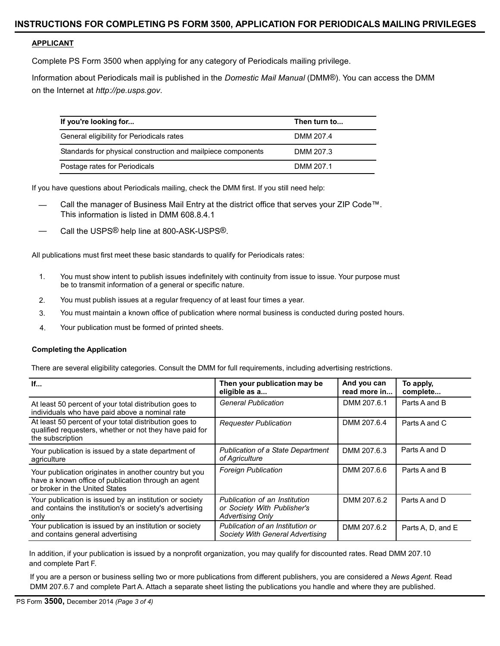#### **APPLICANT**

Complete PS Form 3500 when applying for any category of Periodicals mailing privilege.

Information about Periodicals mail is published in the *Domestic Mail Manual* (DMM®). You can access the DMM on the Internet at *[http://pe.usps.gov](http://pe.usps.gov/)*.

| If you're looking for                                        | Then turn to |
|--------------------------------------------------------------|--------------|
| General eligibility for Periodicals rates                    | DMM 207.4    |
| Standards for physical construction and mailpiece components | DMM 207.3    |
| Postage rates for Periodicals                                | DMM 207.1    |

If you have questions about Periodicals mailing, check the DMM first. If you still need help:

- Call the manager of Business Mail Entry at the district office that serves your ZIP Code™. This information is listed in DMM 608.8.4.1
- Call the USPS® help line at 800-ASK-USPS®.

All publications must first meet these basic standards to qualify for Periodicals rates:

- 1. You must show intent to publish issues indefinitely with continuity from issue to issue. Your purpose must be to transmit information of a general or specific nature.
- 2. You must publish issues at a regular frequency of at least four times a year.
- 3. You must maintain a known office of publication where normal business is conducted during posted hours.
- 4. Your publication must be formed of printed sheets.

#### **Completing the Application**

There are several eligibility categories. Consult the DMM for full requirements, including advertising restrictions.

| If                                                                                                                                              | Then your publication may be<br>eligible as a                                           | And you can<br>read more in | To apply,<br>complete |
|-------------------------------------------------------------------------------------------------------------------------------------------------|-----------------------------------------------------------------------------------------|-----------------------------|-----------------------|
| At least 50 percent of your total distribution goes to<br>individuals who have paid above a nominal rate                                        | <b>General Publication</b>                                                              | DMM 207.6.1                 | Parts A and B         |
| At least 50 percent of your total distribution goes to<br>qualified requesters, whether or not they have paid for<br>the subscription           | <b>Requester Publication</b>                                                            | DMM 207.6.4                 | Parts A and C         |
| Your publication is issued by a state department of<br>agriculture                                                                              | <b>Publication of a State Department</b><br>of Agriculture                              | DMM 207.6.3                 | Parts A and D         |
| Your publication originates in another country but you<br>have a known office of publication through an agent<br>or broker in the United States | <b>Foreign Publication</b>                                                              | DMM 207.6.6                 | Parts A and B         |
| Your publication is issued by an institution or society<br>and contains the institution's or society's advertising<br>only                      | Publication of an Institution<br>or Society With Publisher's<br><b>Advertising Only</b> | DMM 207.6.2                 | Parts A and D         |
| Your publication is issued by an institution or society<br>and contains general advertising                                                     | Publication of an Institution or<br>Society With General Advertising                    | DMM 207.6.2                 | Parts A, D, and E     |

In addition, if your publication is issued by a nonprofit organization, you may qualify for discounted rates. Read DMM 207.10 and complete Part F.

If you are a person or business selling two or more publications from different publishers, you are considered a *News Agent.* Read DMM 207.6.7 and complete Part A. Attach a separate sheet listing the publications you handle and where they are published.